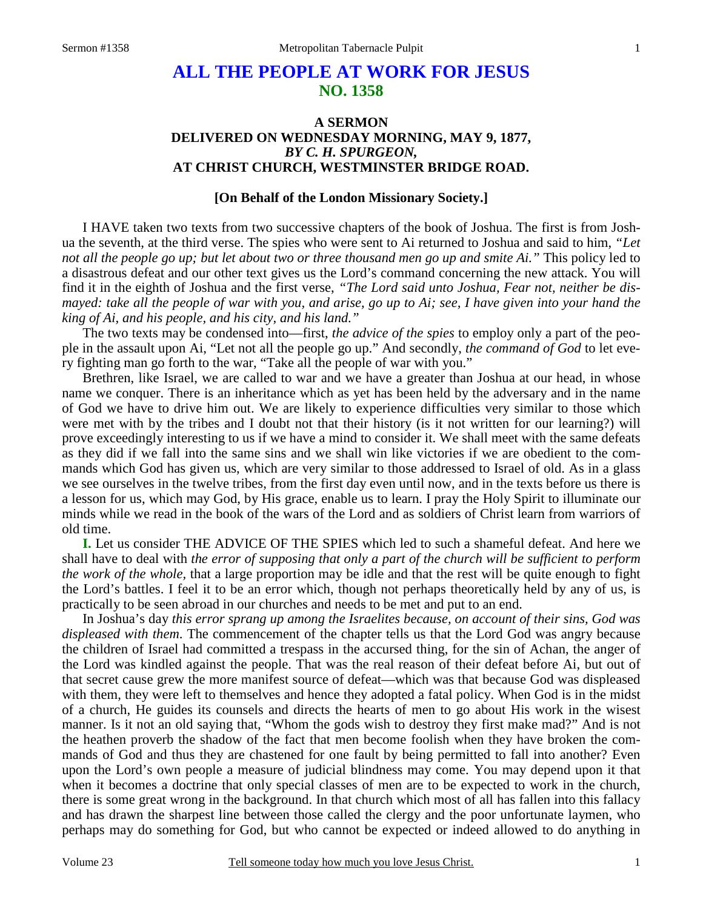## **ALL THE PEOPLE AT WORK FOR JESUS NO. 1358**

## **A SERMON DELIVERED ON WEDNESDAY MORNING, MAY 9, 1877,**  *BY C. H. SPURGEON,*  **AT CHRIST CHURCH, WESTMINSTER BRIDGE ROAD.**

## **[On Behalf of the London Missionary Society.]**

I HAVE taken two texts from two successive chapters of the book of Joshua. The first is from Joshua the seventh, at the third verse. The spies who were sent to Ai returned to Joshua and said to him, *"Let not all the people go up; but let about two or three thousand men go up and smite Ai."* This policy led to a disastrous defeat and our other text gives us the Lord's command concerning the new attack. You will find it in the eighth of Joshua and the first verse, *"The Lord said unto Joshua, Fear not, neither be dismayed: take all the people of war with you, and arise, go up to Ai; see, I have given into your hand the king of Ai, and his people, and his city, and his land."*

The two texts may be condensed into—first, *the advice of the spies* to employ only a part of the people in the assault upon Ai, "Let not all the people go up." And secondly, *the command of God* to let every fighting man go forth to the war, "Take all the people of war with you."

Brethren, like Israel, we are called to war and we have a greater than Joshua at our head, in whose name we conquer. There is an inheritance which as yet has been held by the adversary and in the name of God we have to drive him out. We are likely to experience difficulties very similar to those which were met with by the tribes and I doubt not that their history (is it not written for our learning?) will prove exceedingly interesting to us if we have a mind to consider it. We shall meet with the same defeats as they did if we fall into the same sins and we shall win like victories if we are obedient to the commands which God has given us, which are very similar to those addressed to Israel of old. As in a glass we see ourselves in the twelve tribes, from the first day even until now, and in the texts before us there is a lesson for us, which may God, by His grace, enable us to learn. I pray the Holy Spirit to illuminate our minds while we read in the book of the wars of the Lord and as soldiers of Christ learn from warriors of old time.

**I.** Let us consider THE ADVICE OF THE SPIES which led to such a shameful defeat. And here we shall have to deal with *the error of supposing that only a part of the church will be sufficient to perform the work of the whole,* that a large proportion may be idle and that the rest will be quite enough to fight the Lord's battles. I feel it to be an error which, though not perhaps theoretically held by any of us, is practically to be seen abroad in our churches and needs to be met and put to an end.

In Joshua's day *this error sprang up among the Israelites because, on account of their sins, God was displeased with them*. The commencement of the chapter tells us that the Lord God was angry because the children of Israel had committed a trespass in the accursed thing, for the sin of Achan, the anger of the Lord was kindled against the people. That was the real reason of their defeat before Ai, but out of that secret cause grew the more manifest source of defeat—which was that because God was displeased with them, they were left to themselves and hence they adopted a fatal policy. When God is in the midst of a church, He guides its counsels and directs the hearts of men to go about His work in the wisest manner. Is it not an old saying that, "Whom the gods wish to destroy they first make mad?" And is not the heathen proverb the shadow of the fact that men become foolish when they have broken the commands of God and thus they are chastened for one fault by being permitted to fall into another? Even upon the Lord's own people a measure of judicial blindness may come. You may depend upon it that when it becomes a doctrine that only special classes of men are to be expected to work in the church, there is some great wrong in the background. In that church which most of all has fallen into this fallacy and has drawn the sharpest line between those called the clergy and the poor unfortunate laymen, who perhaps may do something for God, but who cannot be expected or indeed allowed to do anything in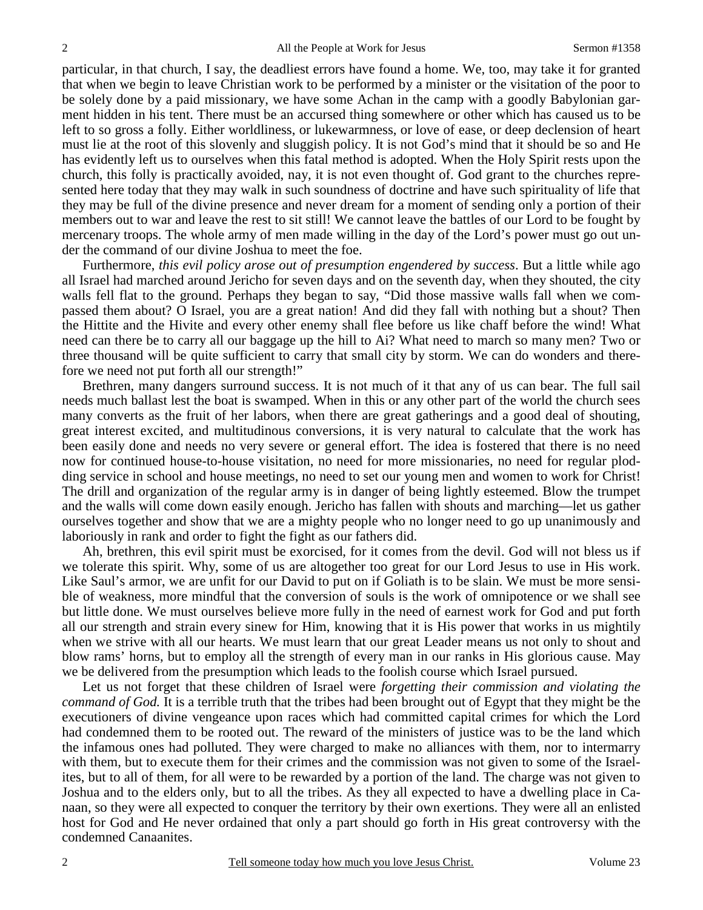particular, in that church, I say, the deadliest errors have found a home. We, too, may take it for granted that when we begin to leave Christian work to be performed by a minister or the visitation of the poor to be solely done by a paid missionary, we have some Achan in the camp with a goodly Babylonian garment hidden in his tent. There must be an accursed thing somewhere or other which has caused us to be left to so gross a folly. Either worldliness, or lukewarmness, or love of ease, or deep declension of heart must lie at the root of this slovenly and sluggish policy. It is not God's mind that it should be so and He has evidently left us to ourselves when this fatal method is adopted. When the Holy Spirit rests upon the church, this folly is practically avoided, nay, it is not even thought of. God grant to the churches represented here today that they may walk in such soundness of doctrine and have such spirituality of life that they may be full of the divine presence and never dream for a moment of sending only a portion of their members out to war and leave the rest to sit still! We cannot leave the battles of our Lord to be fought by mercenary troops. The whole army of men made willing in the day of the Lord's power must go out under the command of our divine Joshua to meet the foe.

Furthermore, *this evil policy arose out of presumption engendered by success*. But a little while ago all Israel had marched around Jericho for seven days and on the seventh day, when they shouted, the city walls fell flat to the ground. Perhaps they began to say, "Did those massive walls fall when we compassed them about? O Israel, you are a great nation! And did they fall with nothing but a shout? Then the Hittite and the Hivite and every other enemy shall flee before us like chaff before the wind! What need can there be to carry all our baggage up the hill to Ai? What need to march so many men? Two or three thousand will be quite sufficient to carry that small city by storm. We can do wonders and therefore we need not put forth all our strength!"

Brethren, many dangers surround success. It is not much of it that any of us can bear. The full sail needs much ballast lest the boat is swamped. When in this or any other part of the world the church sees many converts as the fruit of her labors, when there are great gatherings and a good deal of shouting, great interest excited, and multitudinous conversions, it is very natural to calculate that the work has been easily done and needs no very severe or general effort. The idea is fostered that there is no need now for continued house-to-house visitation, no need for more missionaries, no need for regular plodding service in school and house meetings, no need to set our young men and women to work for Christ! The drill and organization of the regular army is in danger of being lightly esteemed. Blow the trumpet and the walls will come down easily enough. Jericho has fallen with shouts and marching—let us gather ourselves together and show that we are a mighty people who no longer need to go up unanimously and laboriously in rank and order to fight the fight as our fathers did.

Ah, brethren, this evil spirit must be exorcised, for it comes from the devil. God will not bless us if we tolerate this spirit. Why, some of us are altogether too great for our Lord Jesus to use in His work. Like Saul's armor, we are unfit for our David to put on if Goliath is to be slain. We must be more sensible of weakness, more mindful that the conversion of souls is the work of omnipotence or we shall see but little done. We must ourselves believe more fully in the need of earnest work for God and put forth all our strength and strain every sinew for Him, knowing that it is His power that works in us mightily when we strive with all our hearts. We must learn that our great Leader means us not only to shout and blow rams' horns, but to employ all the strength of every man in our ranks in His glorious cause. May we be delivered from the presumption which leads to the foolish course which Israel pursued.

Let us not forget that these children of Israel were *forgetting their commission and violating the command of God.* It is a terrible truth that the tribes had been brought out of Egypt that they might be the executioners of divine vengeance upon races which had committed capital crimes for which the Lord had condemned them to be rooted out. The reward of the ministers of justice was to be the land which the infamous ones had polluted. They were charged to make no alliances with them, nor to intermarry with them, but to execute them for their crimes and the commission was not given to some of the Israelites, but to all of them, for all were to be rewarded by a portion of the land. The charge was not given to Joshua and to the elders only, but to all the tribes. As they all expected to have a dwelling place in Canaan, so they were all expected to conquer the territory by their own exertions. They were all an enlisted host for God and He never ordained that only a part should go forth in His great controversy with the condemned Canaanites.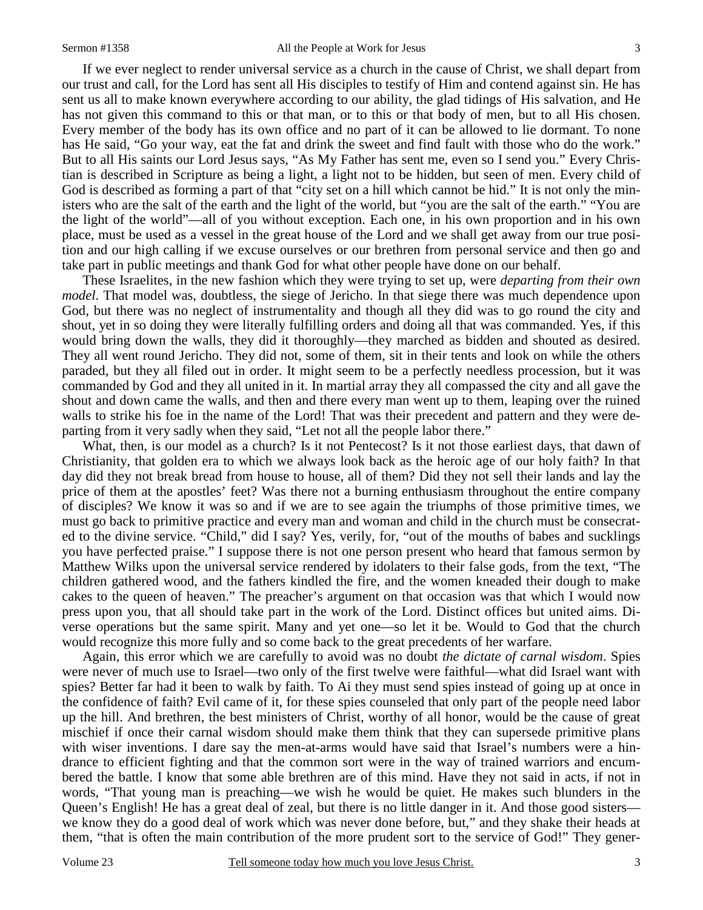If we ever neglect to render universal service as a church in the cause of Christ, we shall depart from our trust and call, for the Lord has sent all His disciples to testify of Him and contend against sin. He has sent us all to make known everywhere according to our ability, the glad tidings of His salvation, and He has not given this command to this or that man, or to this or that body of men, but to all His chosen. Every member of the body has its own office and no part of it can be allowed to lie dormant. To none has He said, "Go your way, eat the fat and drink the sweet and find fault with those who do the work." But to all His saints our Lord Jesus says, "As My Father has sent me, even so I send you." Every Christian is described in Scripture as being a light, a light not to be hidden, but seen of men. Every child of God is described as forming a part of that "city set on a hill which cannot be hid." It is not only the ministers who are the salt of the earth and the light of the world, but "you are the salt of the earth." "You are the light of the world"—all of you without exception. Each one, in his own proportion and in his own place, must be used as a vessel in the great house of the Lord and we shall get away from our true position and our high calling if we excuse ourselves or our brethren from personal service and then go and take part in public meetings and thank God for what other people have done on our behalf.

These Israelites, in the new fashion which they were trying to set up, were *departing from their own model*. That model was, doubtless, the siege of Jericho. In that siege there was much dependence upon God, but there was no neglect of instrumentality and though all they did was to go round the city and shout, yet in so doing they were literally fulfilling orders and doing all that was commanded. Yes, if this would bring down the walls, they did it thoroughly—they marched as bidden and shouted as desired. They all went round Jericho. They did not, some of them, sit in their tents and look on while the others paraded, but they all filed out in order. It might seem to be a perfectly needless procession, but it was commanded by God and they all united in it. In martial array they all compassed the city and all gave the shout and down came the walls, and then and there every man went up to them, leaping over the ruined walls to strike his foe in the name of the Lord! That was their precedent and pattern and they were departing from it very sadly when they said, "Let not all the people labor there."

What, then, is our model as a church? Is it not Pentecost? Is it not those earliest days, that dawn of Christianity, that golden era to which we always look back as the heroic age of our holy faith? In that day did they not break bread from house to house, all of them? Did they not sell their lands and lay the price of them at the apostles' feet? Was there not a burning enthusiasm throughout the entire company of disciples? We know it was so and if we are to see again the triumphs of those primitive times, we must go back to primitive practice and every man and woman and child in the church must be consecrated to the divine service. "Child," did I say? Yes, verily, for, "out of the mouths of babes and sucklings you have perfected praise." I suppose there is not one person present who heard that famous sermon by Matthew Wilks upon the universal service rendered by idolaters to their false gods, from the text, "The children gathered wood, and the fathers kindled the fire, and the women kneaded their dough to make cakes to the queen of heaven." The preacher's argument on that occasion was that which I would now press upon you, that all should take part in the work of the Lord. Distinct offices but united aims. Diverse operations but the same spirit. Many and yet one—so let it be. Would to God that the church would recognize this more fully and so come back to the great precedents of her warfare.

Again, this error which we are carefully to avoid was no doubt *the dictate of carnal wisdom*. Spies were never of much use to Israel—two only of the first twelve were faithful—what did Israel want with spies? Better far had it been to walk by faith. To Ai they must send spies instead of going up at once in the confidence of faith? Evil came of it, for these spies counseled that only part of the people need labor up the hill. And brethren, the best ministers of Christ, worthy of all honor, would be the cause of great mischief if once their carnal wisdom should make them think that they can supersede primitive plans with wiser inventions. I dare say the men-at-arms would have said that Israel's numbers were a hindrance to efficient fighting and that the common sort were in the way of trained warriors and encumbered the battle. I know that some able brethren are of this mind. Have they not said in acts, if not in words, "That young man is preaching—we wish he would be quiet. He makes such blunders in the Queen's English! He has a great deal of zeal, but there is no little danger in it. And those good sisters we know they do a good deal of work which was never done before, but," and they shake their heads at them, "that is often the main contribution of the more prudent sort to the service of God!" They gener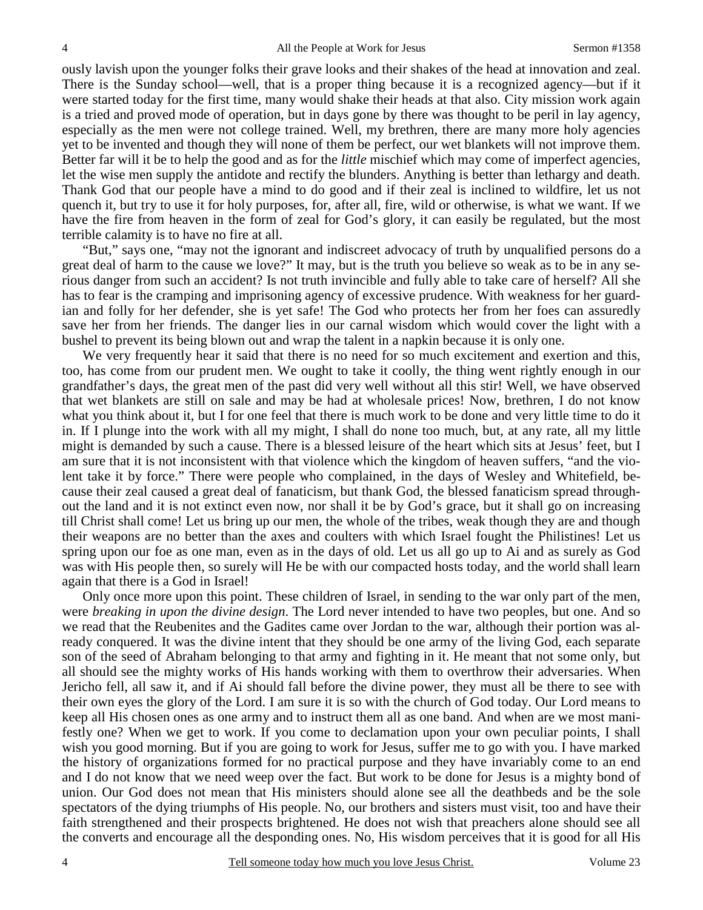ously lavish upon the younger folks their grave looks and their shakes of the head at innovation and zeal. There is the Sunday school—well, that is a proper thing because it is a recognized agency—but if it were started today for the first time, many would shake their heads at that also. City mission work again is a tried and proved mode of operation, but in days gone by there was thought to be peril in lay agency, especially as the men were not college trained. Well, my brethren, there are many more holy agencies yet to be invented and though they will none of them be perfect, our wet blankets will not improve them. Better far will it be to help the good and as for the *little* mischief which may come of imperfect agencies, let the wise men supply the antidote and rectify the blunders. Anything is better than lethargy and death. Thank God that our people have a mind to do good and if their zeal is inclined to wildfire, let us not quench it, but try to use it for holy purposes, for, after all, fire, wild or otherwise, is what we want. If we have the fire from heaven in the form of zeal for God's glory, it can easily be regulated, but the most terrible calamity is to have no fire at all.

"But," says one, "may not the ignorant and indiscreet advocacy of truth by unqualified persons do a great deal of harm to the cause we love?" It may, but is the truth you believe so weak as to be in any serious danger from such an accident? Is not truth invincible and fully able to take care of herself? All she has to fear is the cramping and imprisoning agency of excessive prudence. With weakness for her guardian and folly for her defender, she is yet safe! The God who protects her from her foes can assuredly save her from her friends. The danger lies in our carnal wisdom which would cover the light with a bushel to prevent its being blown out and wrap the talent in a napkin because it is only one.

We very frequently hear it said that there is no need for so much excitement and exertion and this, too, has come from our prudent men. We ought to take it coolly, the thing went rightly enough in our grandfather's days, the great men of the past did very well without all this stir! Well, we have observed that wet blankets are still on sale and may be had at wholesale prices! Now, brethren, I do not know what you think about it, but I for one feel that there is much work to be done and very little time to do it in. If I plunge into the work with all my might, I shall do none too much, but, at any rate, all my little might is demanded by such a cause. There is a blessed leisure of the heart which sits at Jesus' feet, but I am sure that it is not inconsistent with that violence which the kingdom of heaven suffers, "and the violent take it by force." There were people who complained, in the days of Wesley and Whitefield, because their zeal caused a great deal of fanaticism, but thank God, the blessed fanaticism spread throughout the land and it is not extinct even now, nor shall it be by God's grace, but it shall go on increasing till Christ shall come! Let us bring up our men, the whole of the tribes, weak though they are and though their weapons are no better than the axes and coulters with which Israel fought the Philistines! Let us spring upon our foe as one man, even as in the days of old. Let us all go up to Ai and as surely as God was with His people then, so surely will He be with our compacted hosts today, and the world shall learn again that there is a God in Israel!

Only once more upon this point. These children of Israel, in sending to the war only part of the men, were *breaking in upon the divine design*. The Lord never intended to have two peoples, but one. And so we read that the Reubenites and the Gadites came over Jordan to the war, although their portion was already conquered. It was the divine intent that they should be one army of the living God, each separate son of the seed of Abraham belonging to that army and fighting in it. He meant that not some only, but all should see the mighty works of His hands working with them to overthrow their adversaries. When Jericho fell, all saw it, and if Ai should fall before the divine power, they must all be there to see with their own eyes the glory of the Lord. I am sure it is so with the church of God today. Our Lord means to keep all His chosen ones as one army and to instruct them all as one band. And when are we most manifestly one? When we get to work. If you come to declamation upon your own peculiar points, I shall wish you good morning. But if you are going to work for Jesus, suffer me to go with you. I have marked the history of organizations formed for no practical purpose and they have invariably come to an end and I do not know that we need weep over the fact. But work to be done for Jesus is a mighty bond of union. Our God does not mean that His ministers should alone see all the deathbeds and be the sole spectators of the dying triumphs of His people. No, our brothers and sisters must visit, too and have their faith strengthened and their prospects brightened. He does not wish that preachers alone should see all the converts and encourage all the desponding ones. No, His wisdom perceives that it is good for all His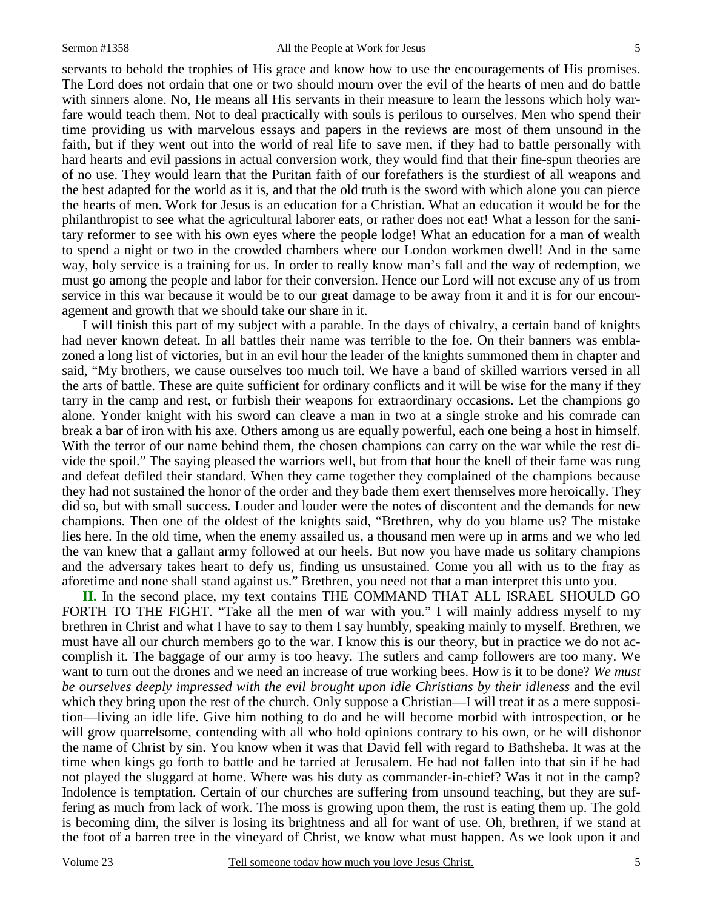servants to behold the trophies of His grace and know how to use the encouragements of His promises. The Lord does not ordain that one or two should mourn over the evil of the hearts of men and do battle with sinners alone. No, He means all His servants in their measure to learn the lessons which holy warfare would teach them. Not to deal practically with souls is perilous to ourselves. Men who spend their time providing us with marvelous essays and papers in the reviews are most of them unsound in the faith, but if they went out into the world of real life to save men, if they had to battle personally with hard hearts and evil passions in actual conversion work, they would find that their fine-spun theories are of no use. They would learn that the Puritan faith of our forefathers is the sturdiest of all weapons and the best adapted for the world as it is, and that the old truth is the sword with which alone you can pierce the hearts of men. Work for Jesus is an education for a Christian. What an education it would be for the philanthropist to see what the agricultural laborer eats, or rather does not eat! What a lesson for the sanitary reformer to see with his own eyes where the people lodge! What an education for a man of wealth to spend a night or two in the crowded chambers where our London workmen dwell! And in the same way, holy service is a training for us. In order to really know man's fall and the way of redemption, we must go among the people and labor for their conversion. Hence our Lord will not excuse any of us from service in this war because it would be to our great damage to be away from it and it is for our encouragement and growth that we should take our share in it.

I will finish this part of my subject with a parable. In the days of chivalry, a certain band of knights had never known defeat. In all battles their name was terrible to the foe. On their banners was emblazoned a long list of victories, but in an evil hour the leader of the knights summoned them in chapter and said, "My brothers, we cause ourselves too much toil. We have a band of skilled warriors versed in all the arts of battle. These are quite sufficient for ordinary conflicts and it will be wise for the many if they tarry in the camp and rest, or furbish their weapons for extraordinary occasions. Let the champions go alone. Yonder knight with his sword can cleave a man in two at a single stroke and his comrade can break a bar of iron with his axe. Others among us are equally powerful, each one being a host in himself. With the terror of our name behind them, the chosen champions can carry on the war while the rest divide the spoil." The saying pleased the warriors well, but from that hour the knell of their fame was rung and defeat defiled their standard. When they came together they complained of the champions because they had not sustained the honor of the order and they bade them exert themselves more heroically. They did so, but with small success. Louder and louder were the notes of discontent and the demands for new champions. Then one of the oldest of the knights said, "Brethren, why do you blame us? The mistake lies here. In the old time, when the enemy assailed us, a thousand men were up in arms and we who led the van knew that a gallant army followed at our heels. But now you have made us solitary champions and the adversary takes heart to defy us, finding us unsustained. Come you all with us to the fray as aforetime and none shall stand against us." Brethren, you need not that a man interpret this unto you.

**II.** In the second place, my text contains THE COMMAND THAT ALL ISRAEL SHOULD GO FORTH TO THE FIGHT. "Take all the men of war with you." I will mainly address myself to my brethren in Christ and what I have to say to them I say humbly, speaking mainly to myself. Brethren, we must have all our church members go to the war. I know this is our theory, but in practice we do not accomplish it. The baggage of our army is too heavy. The sutlers and camp followers are too many. We want to turn out the drones and we need an increase of true working bees. How is it to be done? *We must be ourselves deeply impressed with the evil brought upon idle Christians by their idleness* and the evil which they bring upon the rest of the church. Only suppose a Christian—I will treat it as a mere supposition—living an idle life. Give him nothing to do and he will become morbid with introspection, or he will grow quarrelsome, contending with all who hold opinions contrary to his own, or he will dishonor the name of Christ by sin. You know when it was that David fell with regard to Bathsheba. It was at the time when kings go forth to battle and he tarried at Jerusalem. He had not fallen into that sin if he had not played the sluggard at home. Where was his duty as commander-in-chief? Was it not in the camp? Indolence is temptation. Certain of our churches are suffering from unsound teaching, but they are suffering as much from lack of work. The moss is growing upon them, the rust is eating them up. The gold is becoming dim, the silver is losing its brightness and all for want of use. Oh, brethren, if we stand at the foot of a barren tree in the vineyard of Christ, we know what must happen. As we look upon it and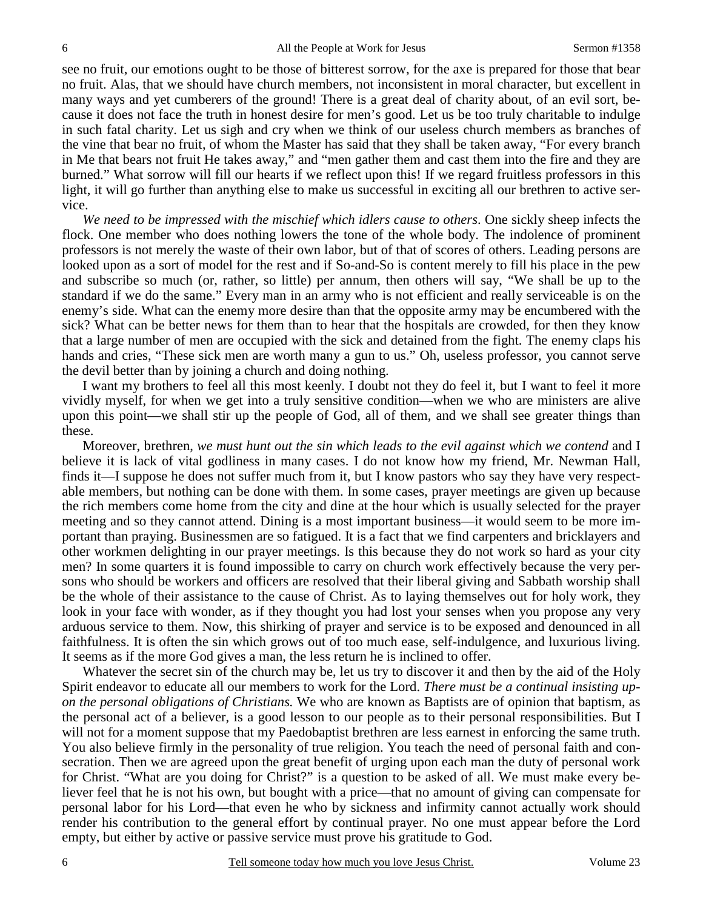see no fruit, our emotions ought to be those of bitterest sorrow, for the axe is prepared for those that bear no fruit. Alas, that we should have church members, not inconsistent in moral character, but excellent in many ways and yet cumberers of the ground! There is a great deal of charity about, of an evil sort, because it does not face the truth in honest desire for men's good. Let us be too truly charitable to indulge in such fatal charity. Let us sigh and cry when we think of our useless church members as branches of the vine that bear no fruit, of whom the Master has said that they shall be taken away, "For every branch in Me that bears not fruit He takes away," and "men gather them and cast them into the fire and they are burned." What sorrow will fill our hearts if we reflect upon this! If we regard fruitless professors in this light, it will go further than anything else to make us successful in exciting all our brethren to active service.

*We need to be impressed with the mischief which idlers cause to others*. One sickly sheep infects the flock. One member who does nothing lowers the tone of the whole body. The indolence of prominent professors is not merely the waste of their own labor, but of that of scores of others. Leading persons are looked upon as a sort of model for the rest and if So-and-So is content merely to fill his place in the pew and subscribe so much (or, rather, so little) per annum, then others will say, "We shall be up to the standard if we do the same." Every man in an army who is not efficient and really serviceable is on the enemy's side. What can the enemy more desire than that the opposite army may be encumbered with the sick? What can be better news for them than to hear that the hospitals are crowded, for then they know that a large number of men are occupied with the sick and detained from the fight. The enemy claps his hands and cries, "These sick men are worth many a gun to us." Oh, useless professor, you cannot serve the devil better than by joining a church and doing nothing.

I want my brothers to feel all this most keenly. I doubt not they do feel it, but I want to feel it more vividly myself, for when we get into a truly sensitive condition—when we who are ministers are alive upon this point—we shall stir up the people of God, all of them, and we shall see greater things than these.

Moreover, brethren, *we must hunt out the sin which leads to the evil against which we contend* and I believe it is lack of vital godliness in many cases. I do not know how my friend, Mr. Newman Hall, finds it—I suppose he does not suffer much from it, but I know pastors who say they have very respectable members, but nothing can be done with them. In some cases, prayer meetings are given up because the rich members come home from the city and dine at the hour which is usually selected for the prayer meeting and so they cannot attend. Dining is a most important business—it would seem to be more important than praying. Businessmen are so fatigued. It is a fact that we find carpenters and bricklayers and other workmen delighting in our prayer meetings. Is this because they do not work so hard as your city men? In some quarters it is found impossible to carry on church work effectively because the very persons who should be workers and officers are resolved that their liberal giving and Sabbath worship shall be the whole of their assistance to the cause of Christ. As to laying themselves out for holy work, they look in your face with wonder, as if they thought you had lost your senses when you propose any very arduous service to them. Now, this shirking of prayer and service is to be exposed and denounced in all faithfulness. It is often the sin which grows out of too much ease, self-indulgence, and luxurious living. It seems as if the more God gives a man, the less return he is inclined to offer.

Whatever the secret sin of the church may be, let us try to discover it and then by the aid of the Holy Spirit endeavor to educate all our members to work for the Lord. *There must be a continual insisting upon the personal obligations of Christians.* We who are known as Baptists are of opinion that baptism, as the personal act of a believer, is a good lesson to our people as to their personal responsibilities. But I will not for a moment suppose that my Paedobaptist brethren are less earnest in enforcing the same truth. You also believe firmly in the personality of true religion. You teach the need of personal faith and consecration. Then we are agreed upon the great benefit of urging upon each man the duty of personal work for Christ. "What are you doing for Christ?" is a question to be asked of all. We must make every believer feel that he is not his own, but bought with a price—that no amount of giving can compensate for personal labor for his Lord—that even he who by sickness and infirmity cannot actually work should render his contribution to the general effort by continual prayer. No one must appear before the Lord empty, but either by active or passive service must prove his gratitude to God.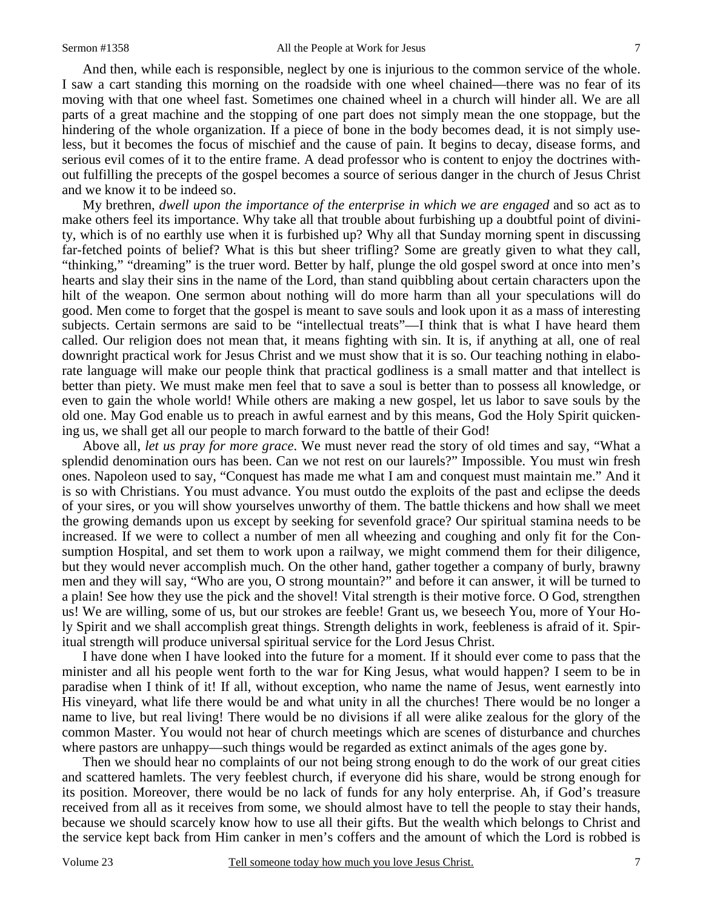And then, while each is responsible, neglect by one is injurious to the common service of the whole. I saw a cart standing this morning on the roadside with one wheel chained—there was no fear of its moving with that one wheel fast. Sometimes one chained wheel in a church will hinder all. We are all parts of a great machine and the stopping of one part does not simply mean the one stoppage, but the hindering of the whole organization. If a piece of bone in the body becomes dead, it is not simply useless, but it becomes the focus of mischief and the cause of pain. It begins to decay, disease forms, and serious evil comes of it to the entire frame. A dead professor who is content to enjoy the doctrines without fulfilling the precepts of the gospel becomes a source of serious danger in the church of Jesus Christ and we know it to be indeed so.

My brethren, *dwell upon the importance of the enterprise in which we are engaged* and so act as to make others feel its importance. Why take all that trouble about furbishing up a doubtful point of divinity, which is of no earthly use when it is furbished up? Why all that Sunday morning spent in discussing far-fetched points of belief? What is this but sheer trifling? Some are greatly given to what they call, "thinking," "dreaming" is the truer word. Better by half, plunge the old gospel sword at once into men's hearts and slay their sins in the name of the Lord, than stand quibbling about certain characters upon the hilt of the weapon. One sermon about nothing will do more harm than all your speculations will do good. Men come to forget that the gospel is meant to save souls and look upon it as a mass of interesting subjects. Certain sermons are said to be "intellectual treats"—I think that is what I have heard them called. Our religion does not mean that, it means fighting with sin. It is, if anything at all, one of real downright practical work for Jesus Christ and we must show that it is so. Our teaching nothing in elaborate language will make our people think that practical godliness is a small matter and that intellect is better than piety. We must make men feel that to save a soul is better than to possess all knowledge, or even to gain the whole world! While others are making a new gospel, let us labor to save souls by the old one. May God enable us to preach in awful earnest and by this means, God the Holy Spirit quickening us, we shall get all our people to march forward to the battle of their God!

Above all, *let us pray for more grace*. We must never read the story of old times and say, "What a splendid denomination ours has been. Can we not rest on our laurels?" Impossible. You must win fresh ones. Napoleon used to say, "Conquest has made me what I am and conquest must maintain me." And it is so with Christians. You must advance. You must outdo the exploits of the past and eclipse the deeds of your sires, or you will show yourselves unworthy of them. The battle thickens and how shall we meet the growing demands upon us except by seeking for sevenfold grace? Our spiritual stamina needs to be increased. If we were to collect a number of men all wheezing and coughing and only fit for the Consumption Hospital, and set them to work upon a railway, we might commend them for their diligence, but they would never accomplish much. On the other hand, gather together a company of burly, brawny men and they will say, "Who are you, O strong mountain?" and before it can answer, it will be turned to a plain! See how they use the pick and the shovel! Vital strength is their motive force. O God, strengthen us! We are willing, some of us, but our strokes are feeble! Grant us, we beseech You, more of Your Holy Spirit and we shall accomplish great things. Strength delights in work, feebleness is afraid of it. Spiritual strength will produce universal spiritual service for the Lord Jesus Christ.

I have done when I have looked into the future for a moment. If it should ever come to pass that the minister and all his people went forth to the war for King Jesus, what would happen? I seem to be in paradise when I think of it! If all, without exception, who name the name of Jesus, went earnestly into His vineyard, what life there would be and what unity in all the churches! There would be no longer a name to live, but real living! There would be no divisions if all were alike zealous for the glory of the common Master. You would not hear of church meetings which are scenes of disturbance and churches where pastors are unhappy—such things would be regarded as extinct animals of the ages gone by.

Then we should hear no complaints of our not being strong enough to do the work of our great cities and scattered hamlets. The very feeblest church, if everyone did his share, would be strong enough for its position. Moreover, there would be no lack of funds for any holy enterprise. Ah, if God's treasure received from all as it receives from some, we should almost have to tell the people to stay their hands, because we should scarcely know how to use all their gifts. But the wealth which belongs to Christ and the service kept back from Him canker in men's coffers and the amount of which the Lord is robbed is